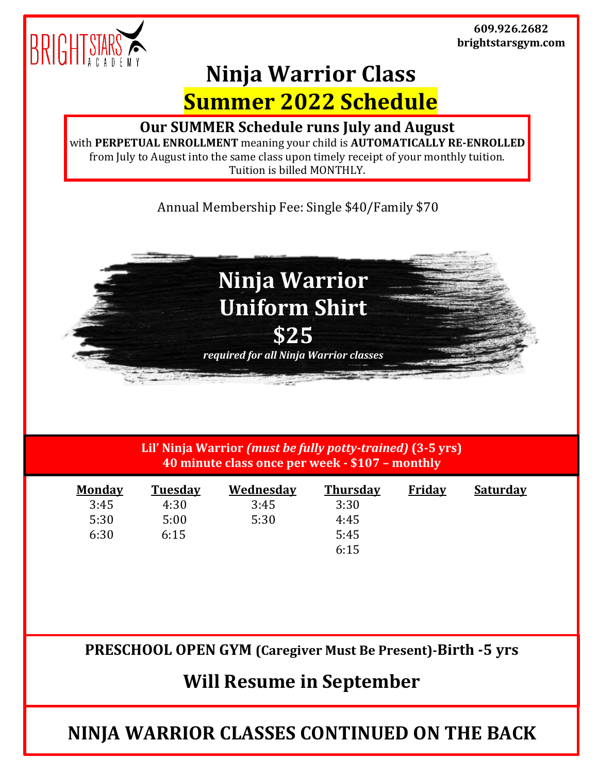

## **Ninja Warrior Class Summer 2022 Schedule**

## **Our SUMMER Schedule runs July and August**

with **PERPETUAL ENROLLMENT** meaning your child is **AUTOMATICALLY RE-ENROLLED** from July to August into the same class upon timely receipt of your monthly tuition. Tuition is billed MONTHLY.

Annual Membership Fee: Single \$40/Family \$70



**Lil' Ninja Warrior** *(must be fully potty-trained)* **(3-5 yrs) 40 minute class once per week - \$107 – monthly**

| <b>Monday</b> | <b>Tuesday</b> | <b>Wednesday</b> | <b>Thursday</b> | <b>Friday</b> | <u>Saturdav</u> |
|---------------|----------------|------------------|-----------------|---------------|-----------------|
| 3:45          | 4:30           | 3:45             | 3:30            |               |                 |
| 5:30          | 5:00           | 5:30             | 4:45            |               |                 |
| 6:30          | 6:15           |                  | 5:45            |               |                 |
|               |                |                  | 6:15            |               |                 |

**PRESCHOOL OPEN GYM (Caregiver Must Be Present)-Birth -5 yrs**

**Will Resume in September**

**NINJA WARRIOR CLASSES CONTINUED ON THE BACK**